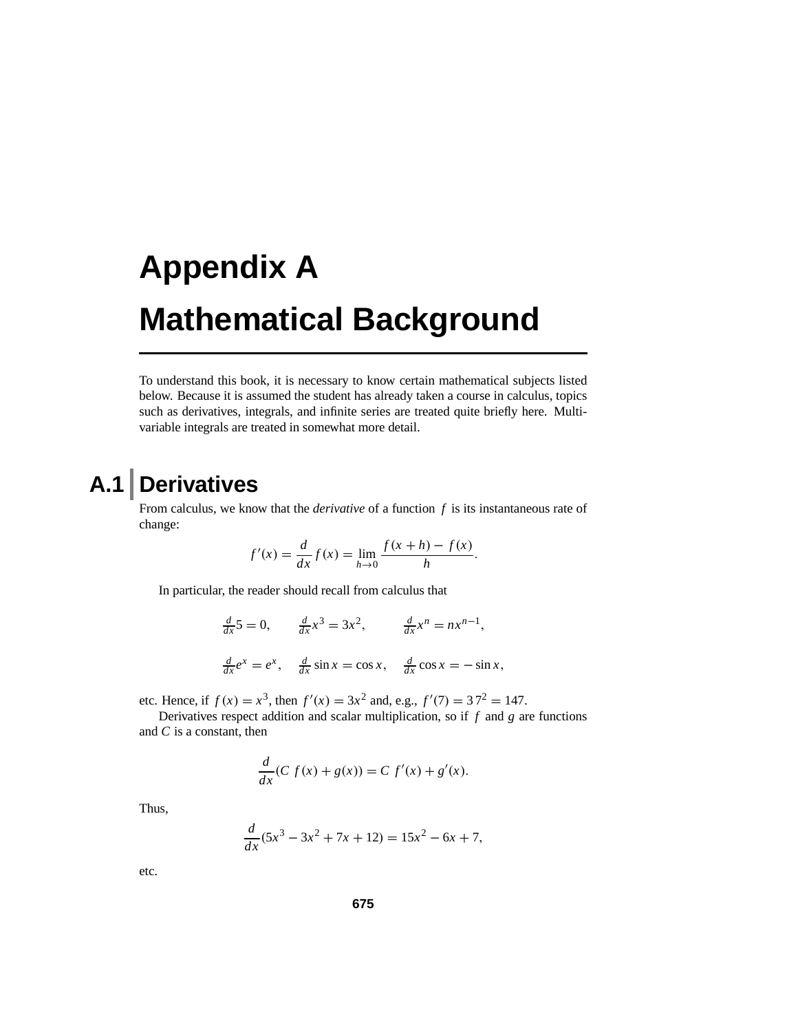# **Appendix A Mathematical Background**

To understand this book, it is necessary to know certain mathematical subjects listed below. Because it is assumed the student has already taken a course in calculus, topics such as derivatives, integrals, and infinite series are treated quite briefly here. Multivariable integrals are treated in somewhat more detail.

### **A.1 Derivatives**

From calculus, we know that the *derivative* of a function *f* is its instantaneous rate of change:

$$
f'(x) = \frac{d}{dx} f(x) = \lim_{h \to 0} \frac{f(x+h) - f(x)}{h}.
$$

In particular, the reader should recall from calculus that

$$
\frac{d}{dx}5 = 0, \qquad \frac{d}{dx}x^3 = 3x^2, \qquad \frac{d}{dx}x^n = nx^{n-1},
$$
  

$$
\frac{d}{dx}e^x = e^x, \qquad \frac{d}{dx}\sin x = \cos x, \qquad \frac{d}{dx}\cos x = -\sin x,
$$

etc. Hence, if  $f(x) = x^3$ , then  $f'(x) = 3x^2$  and, e.g.,  $f'(7) = 37^2 = 147$ .

Derivatives respect addition and scalar multiplication, so if *f* and *g* are functions and *C* is a constant, then

$$
\frac{d}{dx}(C f(x) + g(x)) = C f'(x) + g'(x).
$$

Thus,

$$
\frac{d}{dx}(5x^3 - 3x^2 + 7x + 12) = 15x^2 - 6x + 7,
$$

etc.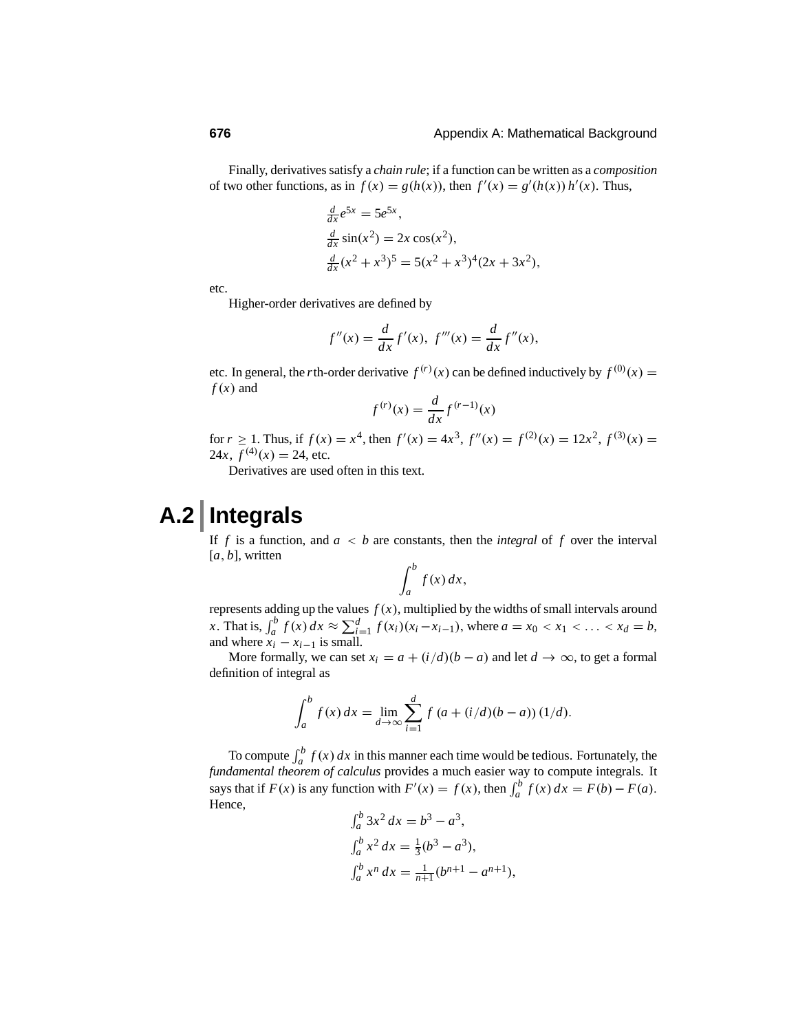Finally, derivatives satisfy a *chain rule*; if a function can be written as a *composition* of two other functions, as in  $f(x) = g(h(x))$ , then  $f'(x) = g'(h(x))h'(x)$ . Thus,

$$
\frac{d}{dx}e^{5x} = 5e^{5x},
$$
  
\n
$$
\frac{d}{dx}\sin(x^2) = 2x\cos(x^2),
$$
  
\n
$$
\frac{d}{dx}(x^2 + x^3)^5 = 5(x^2 + x^3)^4(2x + 3x^2),
$$

etc.

Higher-order derivatives are defined by

$$
f''(x) = \frac{d}{dx} f'(x), \ f'''(x) = \frac{d}{dx} f''(x),
$$

etc. In general, the *r*th-order derivative  $f^{(r)}(x)$  can be defined inductively by  $f^{(0)}(x) =$  $f(x)$  and

$$
f^{(r)}(x) = \frac{d}{dx} f^{(r-1)}(x)
$$

for  $r \ge 1$ . Thus, if  $f(x) = x^4$ , then  $f'(x) = 4x^3$ ,  $f''(x) = f^{(2)}(x) = 12x^2$ ,  $f^{(3)}(x) =$  $24x, f<sup>(4)</sup>(x) = 24$ , etc.

Derivatives are used often in this text.

# **A.2 Integrals**

If *f* is a function, and  $a < b$  are constants, then the *integral* of *f* over the interval [*a*, *b*], written

$$
\int_a^b f(x) \, dx,
$$

represents adding up the values  $f(x)$ , multiplied by the widths of small intervals around *x*. That is,  $\int_{a}^{b} f(x) dx \approx \sum_{i=1}^{d} f(x_i)(x_i - x_{i-1})$ , where  $a = x_0 < x_1 < ... < x_d = b$ , and where  $\overline{x_i} - \overline{x_{i-1}}$  is small.

More formally, we can set  $x_i = a + (i/d)(b - a)$  and let  $d \rightarrow \infty$ , to get a formal definition of integral as

$$
\int_{a}^{b} f(x) dx = \lim_{d \to \infty} \sum_{i=1}^{d} f(a + (i/d)(b - a)) (1/d).
$$

To compute  $\int_a^b f(x) dx$  in this manner each time would be tedious. Fortunately, the *fundamental theorem of calculus* provides a much easier way to compute integrals. It says that if  $F(x)$  is any function with  $F'(x) = f(x)$ , then  $\int_a^b f(x) dx = F(b) - F(a)$ . Hence, " *b*

$$
\int_{a}^{b} 3x^{2} dx = b^{3} - a^{3},
$$
  
\n
$$
\int_{a}^{b} x^{2} dx = \frac{1}{3} (b^{3} - a^{3}),
$$
  
\n
$$
\int_{a}^{b} x^{n} dx = \frac{1}{n+1} (b^{n+1} - a^{n+1}),
$$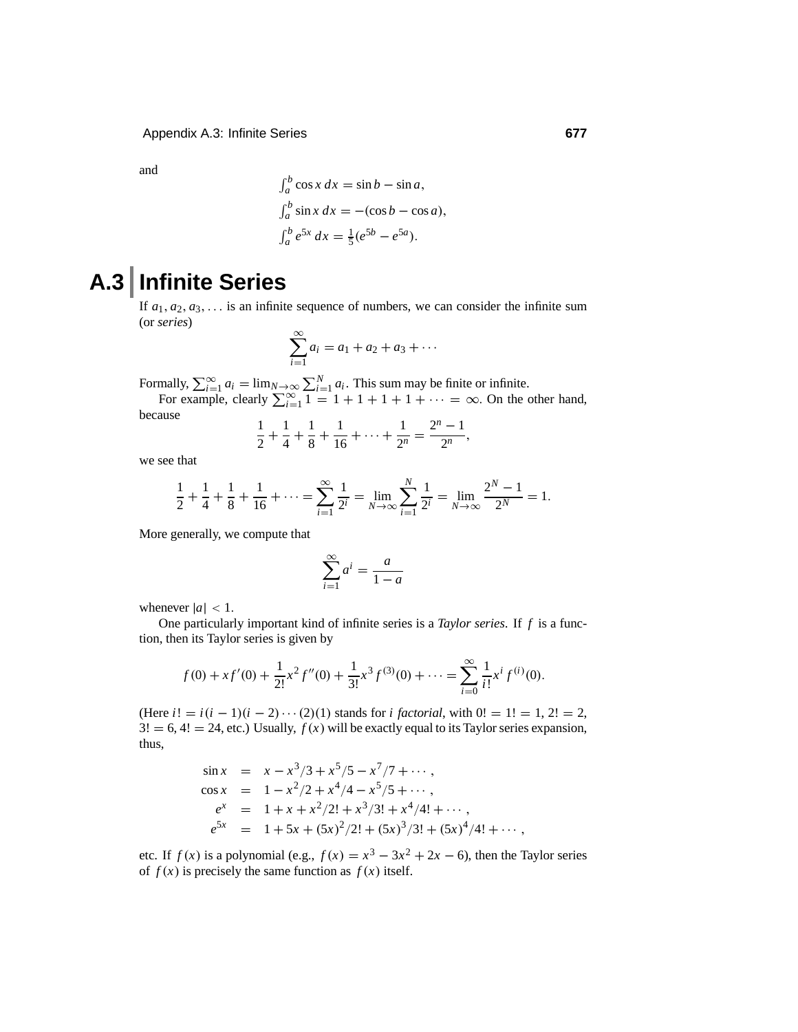and

$$
\int_a^b \cos x \, dx = \sin b - \sin a,
$$
  
\n
$$
\int_a^b \sin x \, dx = -(\cos b - \cos a),
$$
  
\n
$$
\int_a^b e^{5x} \, dx = \frac{1}{5} (e^{5b} - e^{5a}).
$$

## **A.3 Infinite Series**

If  $a_1, a_2, a_3, \ldots$  is an infinite sequence of numbers, we can consider the infinite sum (or *series*)

$$
\sum_{i=1}^{\infty} a_i = a_1 + a_2 + a_3 + \cdots
$$

Formally,  $\sum_{i=1}^{\infty} a_i = \lim_{N \to \infty} \sum_{i=1}^{N} a_i$ . This sum may be finite or infinite.<br>For example, clearly  $\sum_{i=1}^{\infty} 1 = 1 + 1 + 1 + 1 + \cdots = \infty$ . On the other hand,

$$
\frac{1}{2} + \frac{1}{4} + \frac{1}{8} + \frac{1}{16} + \dots + \frac{1}{2^n} = \frac{2^n - 1}{2^n},
$$

we see that

because

$$
\frac{1}{2} + \frac{1}{4} + \frac{1}{8} + \frac{1}{16} + \dots = \sum_{i=1}^{\infty} \frac{1}{2^i} = \lim_{N \to \infty} \sum_{i=1}^N \frac{1}{2^i} = \lim_{N \to \infty} \frac{2^N - 1}{2^N} = 1.
$$

More generally, we compute that

$$
\sum_{i=1}^{\infty} a^i = \frac{a}{1-a}
$$

whenever  $|a| < 1$ .

One particularly important kind of infinite series is a *Taylor series*. If *f* is a function, then its Taylor series is given by

$$
f(0) + xf'(0) + \frac{1}{2!}x^2 f''(0) + \frac{1}{3!}x^3 f^{(3)}(0) + \dots = \sum_{i=0}^{\infty} \frac{1}{i!} x^i f^{(i)}(0).
$$

(Here  $i! = i(i - 1)(i - 2) \cdots (2)(1)$  stands for *i factorial*, with  $0! = 1! = 1, 2! = 2$ ,  $3! = 6, 4! = 24$ , etc.) Usually,  $f(x)$  will be exactly equal to its Taylor series expansion, thus,

$$
\sin x = x - x^3/3 + x^5/5 - x^7/7 + \cdots,
$$
  
\n
$$
\cos x = 1 - x^2/2 + x^4/4 - x^5/5 + \cdots,
$$
  
\n
$$
e^x = 1 + x + x^2/2! + x^3/3! + x^4/4! + \cdots,
$$
  
\n
$$
e^{5x} = 1 + 5x + (5x)^2/2! + (5x)^3/3! + (5x)^4/4! + \cdots,
$$

etc. If  $f(x)$  is a polynomial (e.g.,  $f(x) = x^3 - 3x^2 + 2x - 6$ ), then the Taylor series of  $f(x)$  is precisely the same function as  $f(x)$  itself.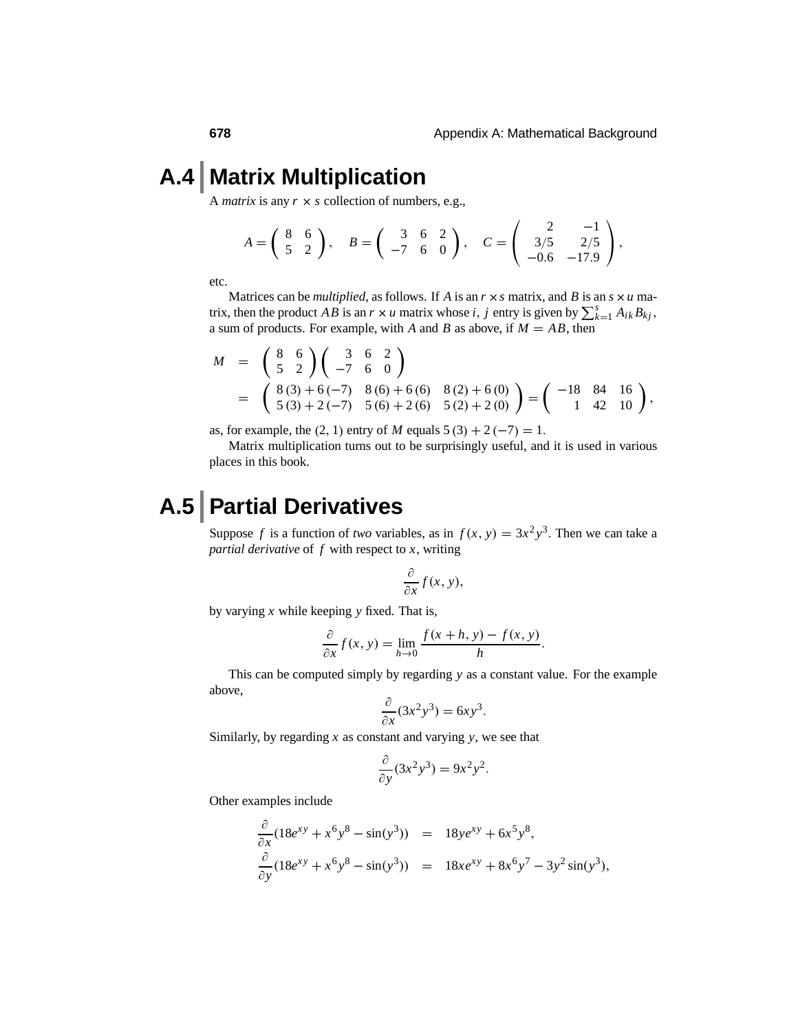### **A.4 Matrix Multiplication**

<sup>A</sup> *matrix* is any *<sup>r</sup>* <sup>×</sup> *<sup>s</sup>* collection of numbers, e.g.,

$$
A = \begin{pmatrix} 8 & 6 \\ 5 & 2 \end{pmatrix}, \quad B = \begin{pmatrix} 3 & 6 & 2 \\ -7 & 6 & 0 \end{pmatrix}, \quad C = \begin{pmatrix} 2 & -1 \\ 3/5 & 2/5 \\ -0.6 & -17.9 \end{pmatrix},
$$

etc.

Matrices can be *multiplied*, as follows. If *A* is an  $r \times s$  matrix, and *B* is an  $s \times u$  matrix, then the product *AB* is an  $r \times u$  matrix whose *i*, *j* entry is given by  $\sum_{k=1}^{s} A_{ik} B_{kj}$ , a sum of products. For example, with *A* and *B* as above, if  $M = AB$ , then

$$
M = \begin{pmatrix} 8 & 6 \\ 5 & 2 \end{pmatrix} \begin{pmatrix} 3 & 6 & 2 \\ -7 & 6 & 0 \end{pmatrix}
$$
  
=  $\begin{pmatrix} 8(3) + 6(-7) & 8(6) + 6(6) & 8(2) + 6(0) \\ 5(3) + 2(-7) & 5(6) + 2(6) & 5(2) + 2(0) \end{pmatrix} = \begin{pmatrix} -18 & 84 & 16 \\ 1 & 42 & 10 \end{pmatrix}$ ,

as, for example, the  $(2, 1)$  entry of *M* equals  $5(3) + 2(-7) = 1$ .

Matrix multiplication turns out to be surprisingly useful, and it is used in various places in this book.

#### **A.5 Partial Derivatives**

Suppose *f* is a function of *two* variables, as in  $f(x, y) = 3x^2y^3$ . Then we can take a *partial derivative* of *f* with respect to *x*, writing

$$
\frac{\partial}{\partial x}f(x, y),
$$

by varying *x* while keeping *y* fixed. That is,

$$
\frac{\partial}{\partial x} f(x, y) = \lim_{h \to 0} \frac{f(x+h, y) - f(x, y)}{h}.
$$

This can be computed simply by regarding *y* as a constant value. For the example above,

$$
\frac{\partial}{\partial x}(3x^2y^3) = 6xy^3.
$$

Similarly, by regarding *x* as constant and varying *y*, we see that

$$
\frac{\partial}{\partial y}(3x^2y^3) = 9x^2y^2.
$$

Other examples include

$$
\frac{\partial}{\partial x}(18e^{xy} + x^6y^8 - \sin(y^3)) = 18ye^{xy} + 6x^5y^8, \n\frac{\partial}{\partial y}(18e^{xy} + x^6y^8 - \sin(y^3)) = 18xe^{xy} + 8x^6y^7 - 3y^2\sin(y^3),
$$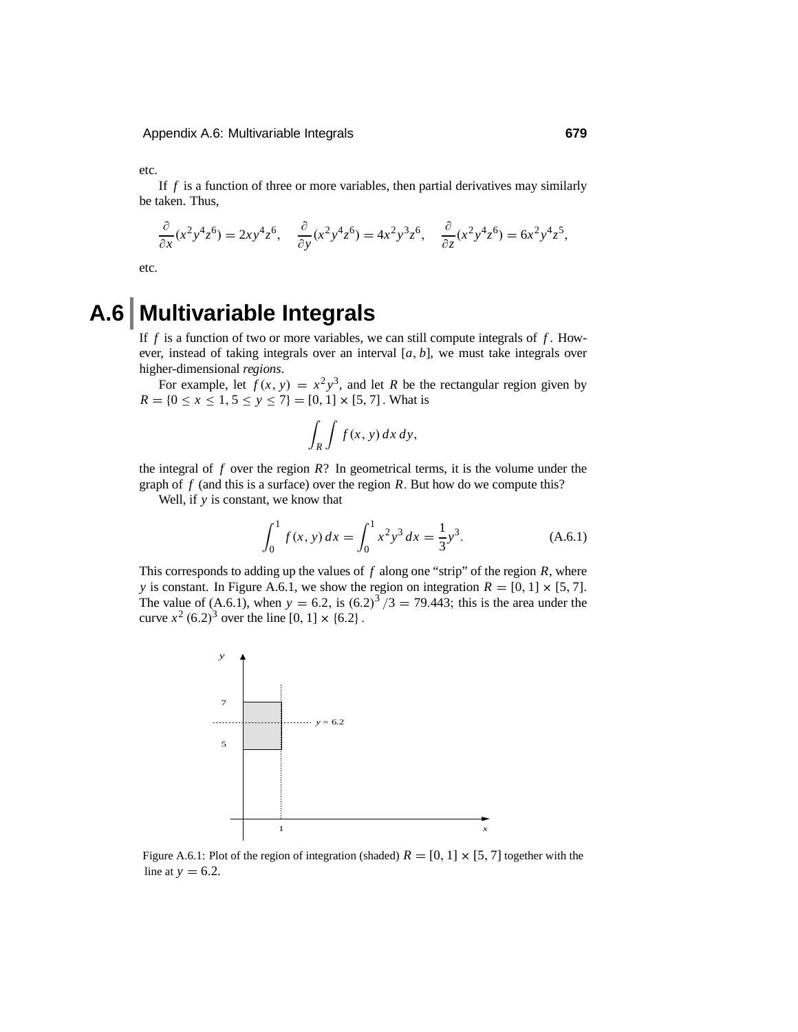etc.

If *f* is a function of three or more variables, then partial derivatives may similarly be taken. Thus,

$$
\frac{\partial}{\partial x}(x^2y^4z^6) = 2xy^4z^6, \quad \frac{\partial}{\partial y}(x^2y^4z^6) = 4x^2y^3z^6, \quad \frac{\partial}{\partial z}(x^2y^4z^6) = 6x^2y^4z^5,
$$

etc.

#### **A.6 Multivariable Integrals**

If *f* is a function of two or more variables, we can still compute integrals of *f* . However, instead of taking integrals over an interval [*a*, *b*], we must take integrals over higher-dimensional *regions*.

For example, let  $f(x, y) = x^2y^3$ , and let *R* be the rectangular region given by  $R = \{0 \le x \le 1, 5 \le y \le 7\} = [0, 1] \times [5, 7]$ . What is

$$
\int_R \int f(x, y) \, dx \, dy,
$$

the integral of  $f$  over the region  $R$ ? In geometrical terms, it is the volume under the graph of *f* (and this is a surface) over the region *R*. But how do we compute this?

Well, if *y* is constant, we know that

$$
\int_0^1 f(x, y) dx = \int_0^1 x^2 y^3 dx = \frac{1}{3} y^3.
$$
 (A.6.1)

This corresponds to adding up the values of *f* along one "strip" of the region *R*, where *y* is constant. In Figure A.6.1, we show the region on integration  $R = [0, 1] \times [5, 7]$ . The value of (A.6.1), when  $y = 6.2$ , is  $(6.2)^3 / 3 = 79.443$ ; this is the area under the curve  $x^2$  (6.2)<sup>3</sup> over the line [0, 1]  $\times$  {6.2}.



Figure A.6.1: Plot of the region of integration (shaded)  $R = [0, 1] \times [5, 7]$  together with the line at  $y = 6.2$ .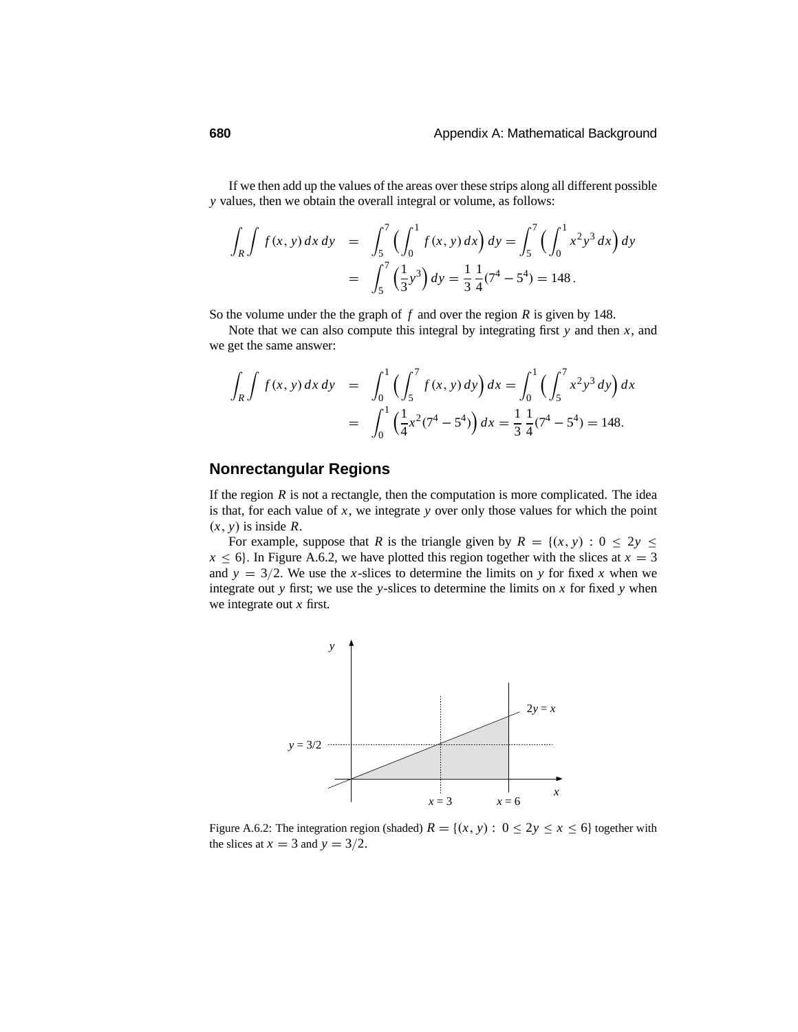If we then add up the values of the areas over these strips along all different possible *y* values, then we obtain the overall integral or volume, as follows:

$$
\int_{R} \int f(x, y) dx dy = \int_{5}^{7} \left( \int_{0}^{1} f(x, y) dx \right) dy = \int_{5}^{7} \left( \int_{0}^{1} x^{2} y^{3} dx \right) dy
$$

$$
= \int_{5}^{7} \left( \frac{1}{3} y^{3} \right) dy = \frac{1}{3} \frac{1}{4} (7^{4} - 5^{4}) = 148.
$$

So the volume under the the graph of *f* and over the region *R* is given by 148.

Note that we can also compute this integral by integrating first *y* and then *x*, and we get the same answer:

$$
\int_{R} \int f(x, y) dx dy = \int_{0}^{1} \left( \int_{5}^{7} f(x, y) dy \right) dx = \int_{0}^{1} \left( \int_{5}^{7} x^{2} y^{3} dy \right) dx
$$

$$
= \int_{0}^{1} \left( \frac{1}{4} x^{2} (7^{4} - 5^{4}) \right) dx = \frac{1}{3} \frac{1}{4} (7^{4} - 5^{4}) = 148.
$$

#### **Nonrectangular Regions**

If the region  $R$  is not a rectangle, then the computation is more complicated. The idea is that, for each value of *x*, we integrate *y* over only those values for which the point  $(x, y)$  is inside  $\overline{R}$ .

For example, suppose that *R* is the triangle given by  $R = \{(x, y) : 0 \le 2y \le 1\}$  $x \le 6$ . In Figure A.6.2, we have plotted this region together with the slices at  $x = 3$ and  $y = 3/2$ . We use the *x*-slices to determine the limits on *y* for fixed *x* when we integrate out *y* first; we use the *y*-slices to determine the limits on *x* for fixed *y* when we integrate out *x* first.



Figure A.6.2: The integration region (shaded)  $R = \{(x, y) : 0 \le 2y \le x \le 6\}$  together with the slices at  $x = 3$  and  $y = 3/2$ .